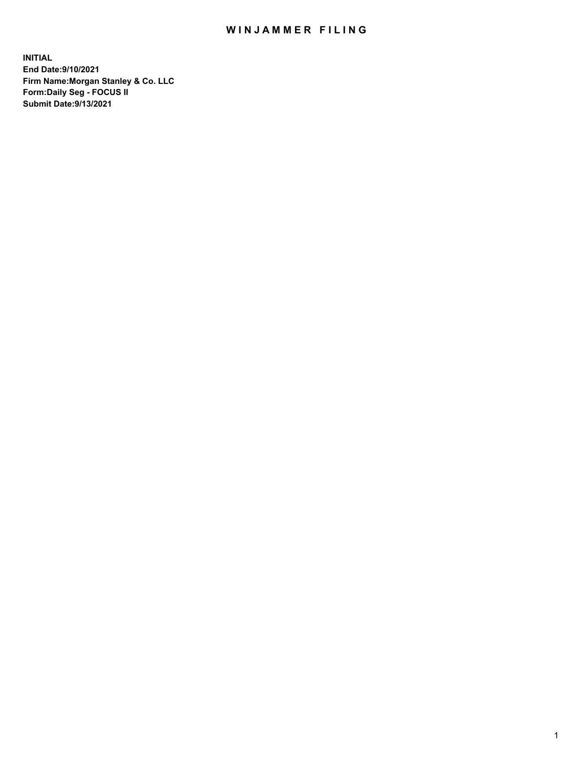## WIN JAMMER FILING

**INITIAL End Date:9/10/2021 Firm Name:Morgan Stanley & Co. LLC Form:Daily Seg - FOCUS II Submit Date:9/13/2021**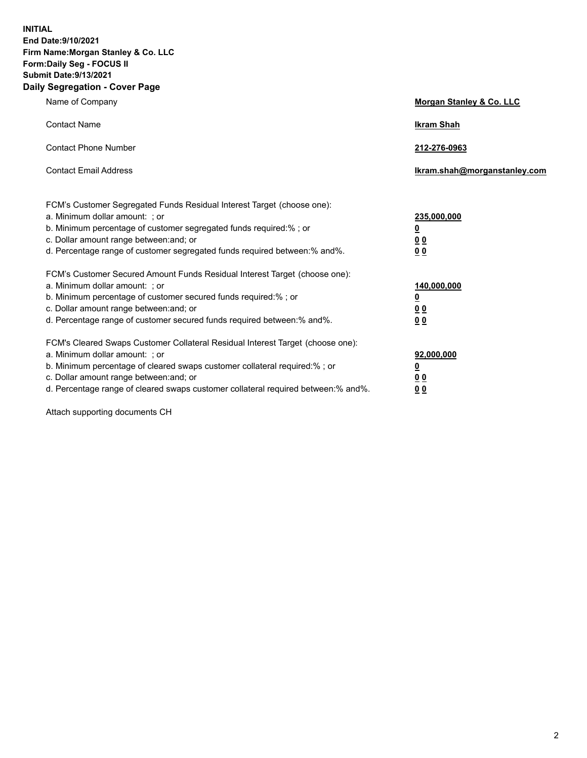**INITIAL End Date:9/10/2021 Firm Name:Morgan Stanley & Co. LLC Form:Daily Seg - FOCUS II Submit Date:9/13/2021 Daily Segregation - Cover Page**

| Name of Company                                                                                                                                                                                                                                                                                                                | <b>Morgan Stanley &amp; Co. LLC</b>                    |
|--------------------------------------------------------------------------------------------------------------------------------------------------------------------------------------------------------------------------------------------------------------------------------------------------------------------------------|--------------------------------------------------------|
| <b>Contact Name</b>                                                                                                                                                                                                                                                                                                            | <b>Ikram Shah</b>                                      |
| <b>Contact Phone Number</b>                                                                                                                                                                                                                                                                                                    | 212-276-0963                                           |
| <b>Contact Email Address</b>                                                                                                                                                                                                                                                                                                   | Ikram.shah@morganstanley.com                           |
| FCM's Customer Segregated Funds Residual Interest Target (choose one):<br>a. Minimum dollar amount: ; or<br>b. Minimum percentage of customer segregated funds required:% ; or<br>c. Dollar amount range between: and; or<br>d. Percentage range of customer segregated funds required between:% and%.                         | 235,000,000<br><u>0</u><br>0 Q<br>0 Q                  |
| FCM's Customer Secured Amount Funds Residual Interest Target (choose one):<br>a. Minimum dollar amount: ; or<br>b. Minimum percentage of customer secured funds required:% ; or<br>c. Dollar amount range between: and; or<br>d. Percentage range of customer secured funds required between: % and %.                         | 140,000,000<br><u>0</u><br><u>00</u><br>0 <sub>0</sub> |
| FCM's Cleared Swaps Customer Collateral Residual Interest Target (choose one):<br>a. Minimum dollar amount: ; or<br>b. Minimum percentage of cleared swaps customer collateral required:% ; or<br>c. Dollar amount range between: and; or<br>d. Percentage range of cleared swaps customer collateral required between:% and%. | 92,000,000<br><u>0</u><br>0 Q<br>00                    |

Attach supporting documents CH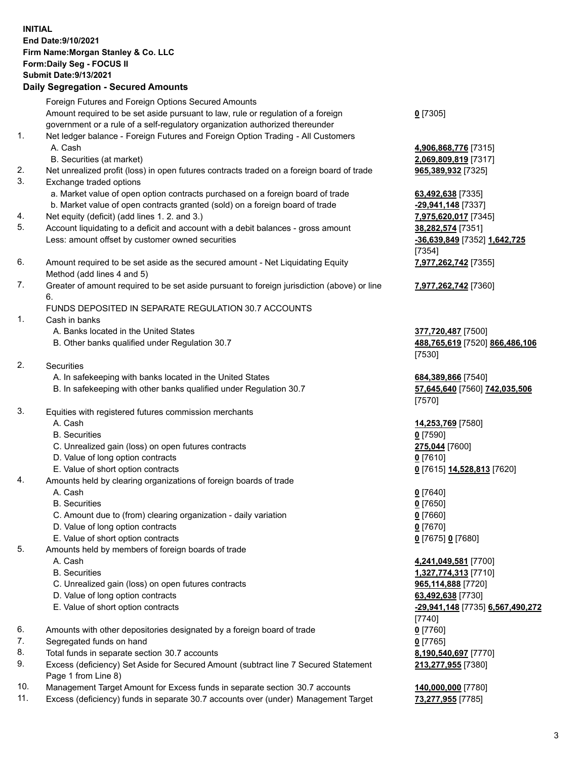## **INITIAL End Date:9/10/2021 Firm Name:Morgan Stanley & Co. LLC Form:Daily Seg - FOCUS II Submit Date:9/13/2021**

**Daily Segregation - Secured Amounts** Foreign Futures and Foreign Options Secured Amounts Amount required to be set aside pursuant to law, rule or regulation of a foreign government or a rule of a self-regulatory organization authorized thereunder 1. Net ledger balance - Foreign Futures and Foreign Option Trading - All Customers A. Cash **4,906,868,776** [7315] B. Securities (at market) **2,069,809,819** [7317] 2. Net unrealized profit (loss) in open futures contracts traded on a foreign board of trade **965,389,932** [7325] 3. Exchange traded options a. Market value of open option contracts purchased on a foreign board of trade **63,492,638** [7335] b. Market value of open contracts granted (sold) on a foreign board of trade **-29,941,148** [7337] 4. Net equity (deficit) (add lines 1. 2. and 3.) **7,975,620,017** [7345] 5. Account liquidating to a deficit and account with a debit balances - gross amount **38,282,574** [7351] Less: amount offset by customer owned securities **-36,639,849** [7352] **1,642,725** 6. Amount required to be set aside as the secured amount - Net Liquidating Equity Method (add lines 4 and 5) 7. Greater of amount required to be set aside pursuant to foreign jurisdiction (above) or line 6. FUNDS DEPOSITED IN SEPARATE REGULATION 30.7 ACCOUNTS 1. Cash in banks A. Banks located in the United States **377,720,487** [7500] B. Other banks qualified under Regulation 30.7 **488,765,619** [7520] **866,486,106** 2. Securities A. In safekeeping with banks located in the United States **684,389,866** [7540] B. In safekeeping with other banks qualified under Regulation 30.7 **57,645,640** [7560] **742,035,506** 3. Equities with registered futures commission merchants A. Cash **14,253,769** [7580] B. Securities **0** [7590] C. Unrealized gain (loss) on open futures contracts **275,044** [7600] D. Value of long option contracts **0** [7610] E. Value of short option contracts **0** [7615] **14,528,813** [7620] 4. Amounts held by clearing organizations of foreign boards of trade A. Cash **0** [7640] B. Securities **0** [7650] C. Amount due to (from) clearing organization - daily variation **0** [7660] D. Value of long option contracts **0** [7670]

- 
- E. Value of short option contracts **0** [7675] **0** [7680]
- 5. Amounts held by members of foreign boards of trade
	-
	-
	- C. Unrealized gain (loss) on open futures contracts **965,114,888** [7720]
	- D. Value of long option contracts **63,492,638** [7730]
	-
- 6. Amounts with other depositories designated by a foreign board of trade **0** [7760]
- 7. Segregated funds on hand **0** [7765]
- 8. Total funds in separate section 30.7 accounts **8,190,540,697** [7770]
- 9. Excess (deficiency) Set Aside for Secured Amount (subtract line 7 Secured Statement Page 1 from Line 8)
- 10. Management Target Amount for Excess funds in separate section 30.7 accounts **140,000,000** [7780]
- 11. Excess (deficiency) funds in separate 30.7 accounts over (under) Management Target **73,277,955** [7785]

**0** [7305]

[7354] **7,977,262,742** [7355]

**7,977,262,742** [7360]

[7530]

[7570]

 A. Cash **4,241,049,581** [7700] B. Securities **1,327,774,313** [7710] E. Value of short option contracts **-29,941,148** [7735] **6,567,490,272** [7740] **213,277,955** [7380]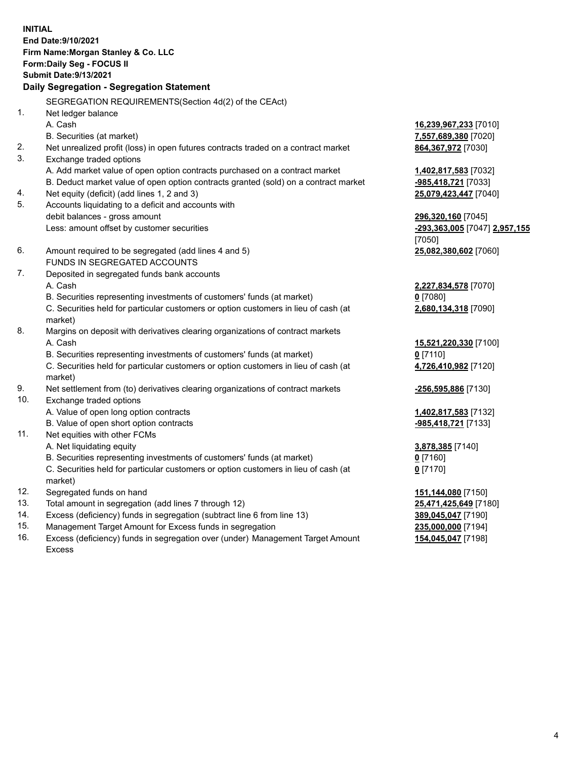**INITIAL End Date:9/10/2021 Firm Name:Morgan Stanley & Co. LLC Form:Daily Seg - FOCUS II Submit Date:9/13/2021 Daily Segregation - Segregation Statement** SEGREGATION REQUIREMENTS(Section 4d(2) of the CEAct) 1. Net ledger balance A. Cash **16,239,967,233** [7010] B. Securities (at market) **7,557,689,380** [7020] 2. Net unrealized profit (loss) in open futures contracts traded on a contract market **864,367,972** [7030] 3. Exchange traded options A. Add market value of open option contracts purchased on a contract market **1,402,817,583** [7032] B. Deduct market value of open option contracts granted (sold) on a contract market **-985,418,721** [7033] 4. Net equity (deficit) (add lines 1, 2 and 3) **25,079,423,447** [7040] 5. Accounts liquidating to a deficit and accounts with debit balances - gross amount **296,320,160** [7045] Less: amount offset by customer securities **-293,363,005** [7047] **2,957,155** [7050] 6. Amount required to be segregated (add lines 4 and 5) **25,082,380,602** [7060] FUNDS IN SEGREGATED ACCOUNTS 7. Deposited in segregated funds bank accounts A. Cash **2,227,834,578** [7070] B. Securities representing investments of customers' funds (at market) **0** [7080] C. Securities held for particular customers or option customers in lieu of cash (at market) **2,680,134,318** [7090] 8. Margins on deposit with derivatives clearing organizations of contract markets A. Cash **15,521,220,330** [7100] B. Securities representing investments of customers' funds (at market) **0** [7110] C. Securities held for particular customers or option customers in lieu of cash (at market) **4,726,410,982** [7120] 9. Net settlement from (to) derivatives clearing organizations of contract markets **-256,595,886** [7130] 10. Exchange traded options A. Value of open long option contracts **1,402,817,583** [7132] B. Value of open short option contracts **-985,418,721** [7133] 11. Net equities with other FCMs A. Net liquidating equity **3,878,385** [7140] B. Securities representing investments of customers' funds (at market) **0** [7160] C. Securities held for particular customers or option customers in lieu of cash (at market) **0** [7170] 12. Segregated funds on hand **151,144,080** [7150] 13. Total amount in segregation (add lines 7 through 12) **25,471,425,649** [7180] 14. Excess (deficiency) funds in segregation (subtract line 6 from line 13) **389,045,047** [7190] 15. Management Target Amount for Excess funds in segregation **235,000,000** [7194]

16. Excess (deficiency) funds in segregation over (under) Management Target Amount Excess

**154,045,047** [7198]